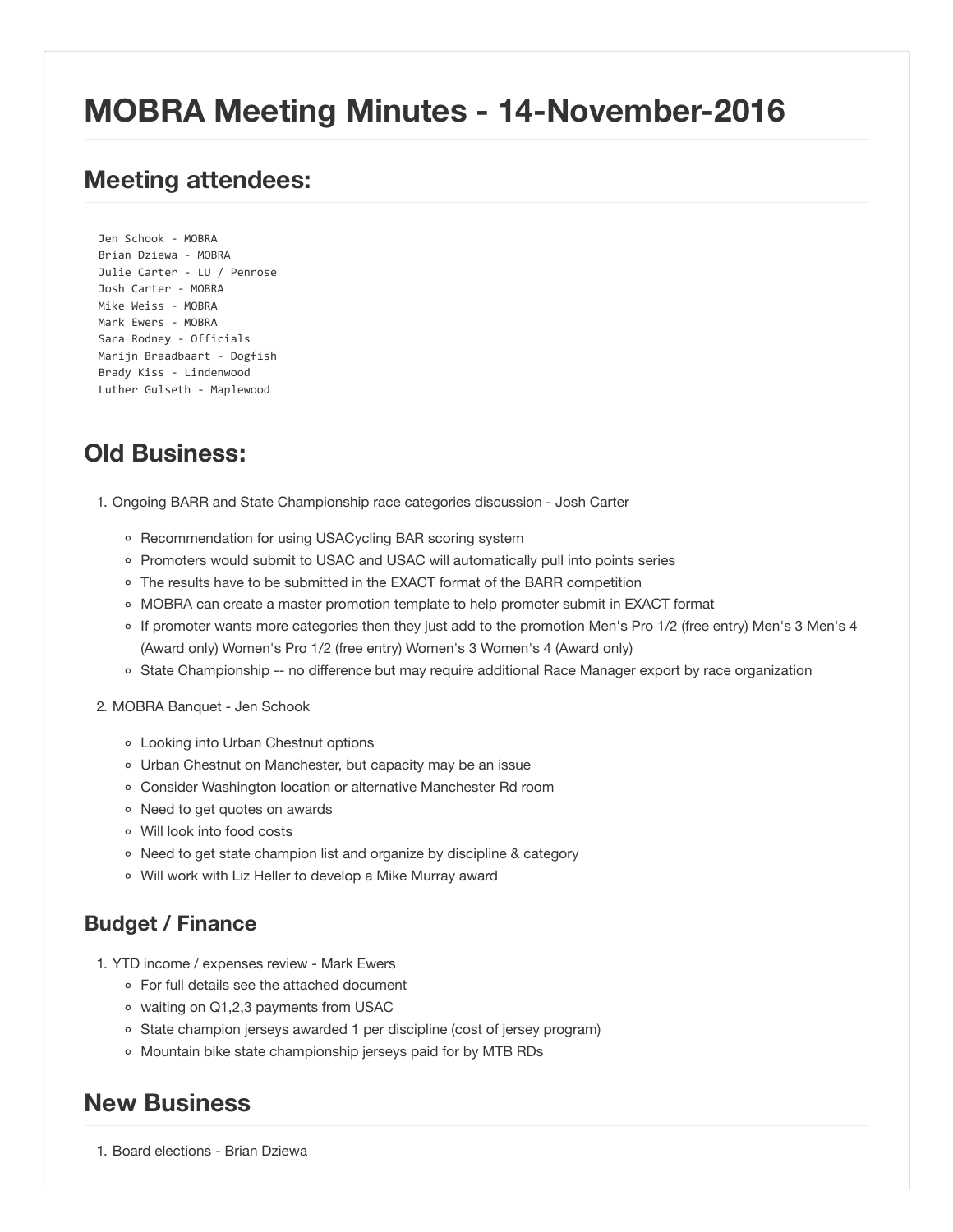# **MOBRA Meeting Minutes - 14-November-2016**

# **Meeting attendees:**

Jen Schook ‐ MOBRA Brian Dziewa ‐ MOBRA Julie Carter ‐ LU / Penrose Josh Carter ‐ MOBRA Mike Weiss ‐ MOBRA Mark Ewers - MOBRA Sara Rodney ‐ Officials Marijn Braadbaart ‐ Dogfish Brady Kiss ‐ Lindenwood Luther Gulseth ‐ Maplewood

# **Old Business:**

1. Ongoing BARR and State Championship race categories discussion - Josh Carter

- o Recommendation for using USACycling BAR scoring system
- Promoters would submit to USAC and USAC will automatically pull into points series
- o The results have to be submitted in the EXACT format of the BARR competition
- MOBRA can create a master promotion template to help promoter submit in EXACT format
- If promoter wants more categories then they just add to the promotion Men's Pro 1/2 (free entry) Men's 3 Men's 4 (Award only) Women's Pro 1/2 (free entry) Women's 3 Women's 4 (Award only)
- o State Championship -- no difference but may require additional Race Manager export by race organization

#### 2. MOBRA Banquet - Jen Schook

- Looking into Urban Chestnut options
- Urban Chestnut on Manchester, but capacity may be an issue
- Consider Washington location or alternative Manchester Rd room
- o Need to get quotes on awards
- Will look into food costs
- Need to get state champion list and organize by discipline & category
- Will work with Liz Heller to develop a Mike Murray award

### **Budget / Finance**

- 1. YTD income / expenses review Mark Ewers
	- For full details see the attached document
	- waiting on Q1,2,3 payments from USAC
	- State champion jerseys awarded 1 per discipline (cost of jersey program)
	- o Mountain bike state championship jerseys paid for by MTB RDs

## **New Business**

1. Board elections - Brian Dziewa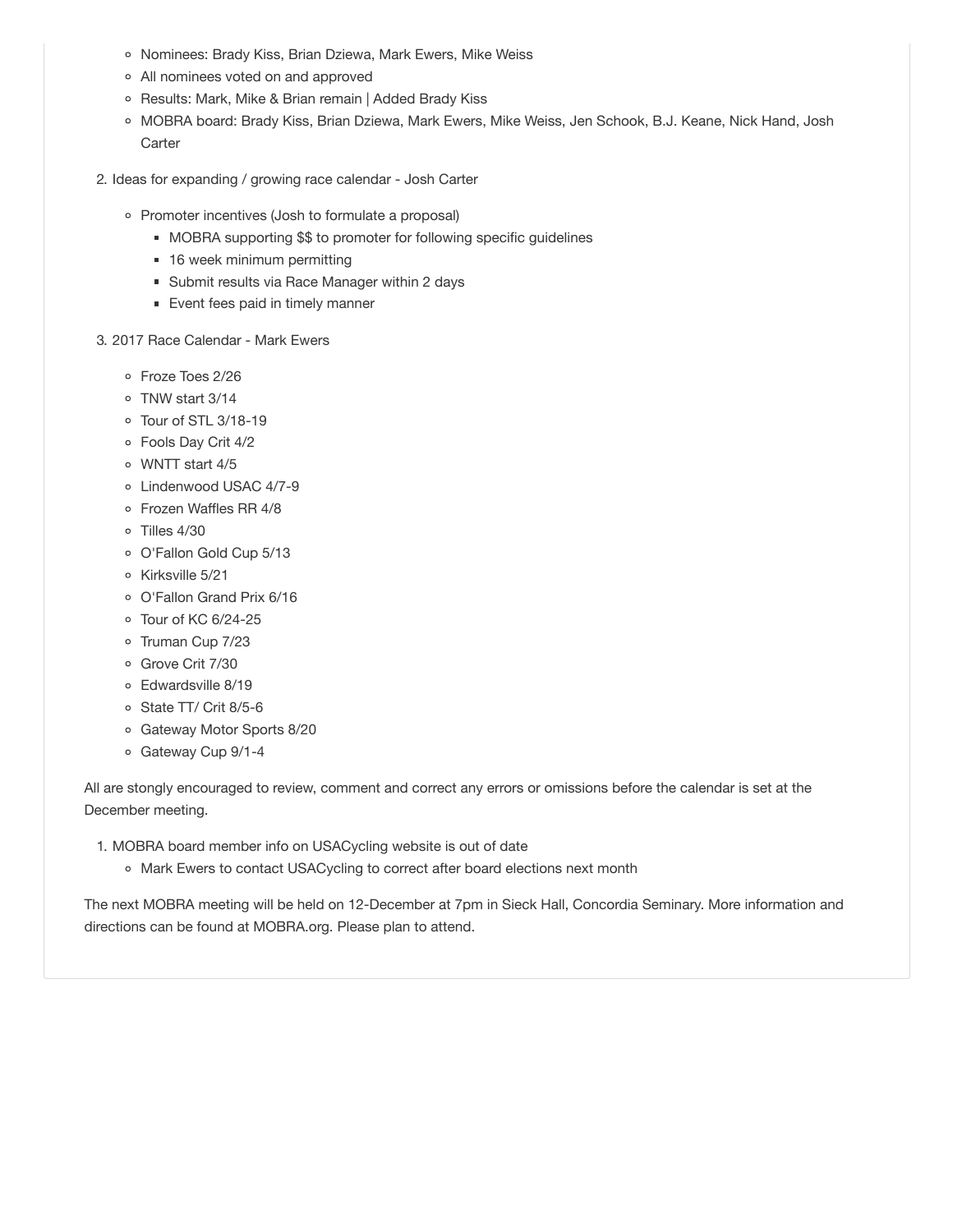- o Nominees: Brady Kiss, Brian Dziewa, Mark Ewers, Mike Weiss
- All nominees voted on and approved
- o Results: Mark, Mike & Brian remain | Added Brady Kiss
- o MOBRA board: Brady Kiss, Brian Dziewa, Mark Ewers, Mike Weiss, Jen Schook, B.J. Keane, Nick Hand, Josh **Carter**
- 2. Ideas for expanding / growing race calendar Josh Carter
	- Promoter incentives (Josh to formulate a proposal)
		- MOBRA supporting \$\$ to promoter for following specific guidelines
		- 16 week minimum permitting
		- Submit results via Race Manager within 2 days
		- **Event fees paid in timely manner**

#### 3. 2017 Race Calendar - Mark Ewers

- Froze Toes 2/26
- TNW start 3/14
- Tour of STL 3/18-19
- Fools Day Crit 4/2
- WNTT start 4/5
- Lindenwood USAC 4/7-9
- Frozen Waffles RR 4/8
- Tilles 4/30
- O'Fallon Gold Cup 5/13
- o Kirksville 5/21
- O'Fallon Grand Prix 6/16
- Tour of KC 6/24-25
- o Truman Cup 7/23
- o Grove Crit 7/30
- Edwardsville 8/19
- State TT/ Crit 8/5-6
- Gateway Motor Sports 8/20
- o Gateway Cup 9/1-4

All are stongly encouraged to review, comment and correct any errors or omissions before the calendar is set at the December meeting.

- 1. MOBRA board member info on USACycling website is out of date
	- o Mark Ewers to contact USACycling to correct after board elections next month

The next MOBRA meeting will be held on 12-December at 7pm in Sieck Hall, Concordia Seminary. More information and directions can be found at MOBRA.org. Please plan to attend.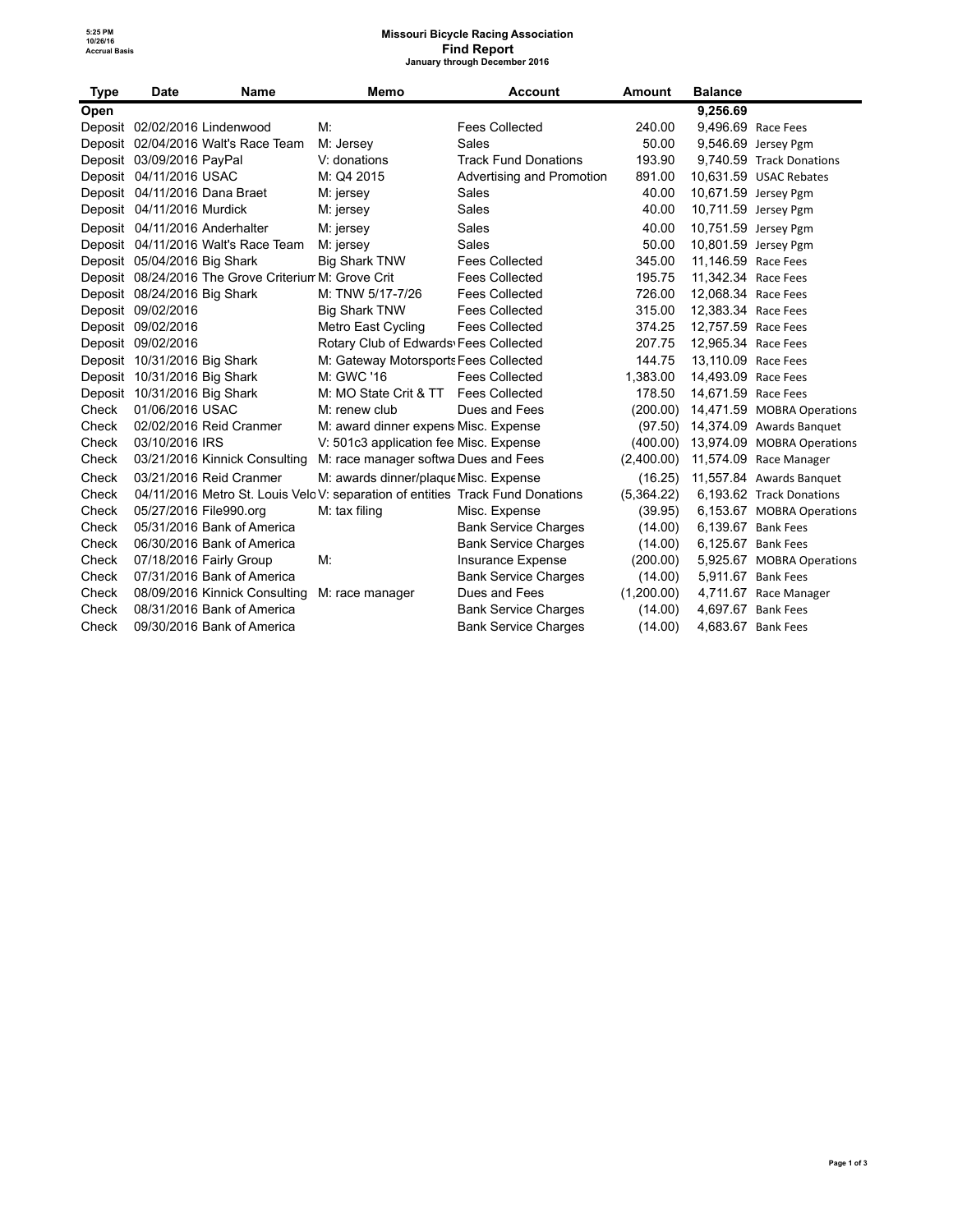### **Missouri Bicycle Racing Association Find Report January through December 2016**

| Type  | <b>Date</b>                    | Name                                                 | Memo                                                                           | <b>Account</b>              | <b>Amount</b> | <b>Balance</b>      |                            |
|-------|--------------------------------|------------------------------------------------------|--------------------------------------------------------------------------------|-----------------------------|---------------|---------------------|----------------------------|
| Open  |                                |                                                      |                                                                                |                             |               | 9,256.69            |                            |
|       | Deposit 02/02/2016 Lindenwood  |                                                      | M:                                                                             | <b>Fees Collected</b>       | 240.00        |                     | 9,496.69 Race Fees         |
|       |                                | Deposit 02/04/2016 Walt's Race Team                  | M: Jersey                                                                      | Sales                       | 50.00         |                     | 9,546.69 Jersey Pgm        |
|       | Deposit 03/09/2016 PayPal      |                                                      | V: donations                                                                   | <b>Track Fund Donations</b> | 193.90        |                     | 9,740.59 Track Donations   |
|       | Deposit 04/11/2016 USAC        |                                                      | M: Q4 2015                                                                     | Advertising and Promotion   | 891.00        |                     | 10.631.59 USAC Rebates     |
|       | Deposit 04/11/2016 Dana Braet  |                                                      | M: jersey                                                                      | Sales                       | 40.00         |                     | 10,671.59 Jersey Pgm       |
|       | Deposit 04/11/2016 Murdick     |                                                      | M: jersey                                                                      | Sales                       | 40.00         |                     | 10,711.59 Jersey Pgm       |
|       | Deposit 04/11/2016 Anderhalter |                                                      | M: jersey                                                                      | Sales                       | 40.00         |                     | 10,751.59 Jersey Pgm       |
|       |                                | Deposit 04/11/2016 Walt's Race Team                  | M: jersey                                                                      | Sales                       | 50.00         |                     | 10,801.59 Jersey Pgm       |
|       | Deposit 05/04/2016 Big Shark   |                                                      | <b>Big Shark TNW</b>                                                           | <b>Fees Collected</b>       | 345.00        | 11,146.59 Race Fees |                            |
|       |                                | Deposit 08/24/2016 The Grove Criterium M: Grove Crit |                                                                                | <b>Fees Collected</b>       | 195.75        | 11,342.34 Race Fees |                            |
|       | Deposit 08/24/2016 Big Shark   |                                                      | M: TNW 5/17-7/26                                                               | <b>Fees Collected</b>       | 726.00        | 12,068.34 Race Fees |                            |
|       | Deposit 09/02/2016             |                                                      | <b>Big Shark TNW</b>                                                           | <b>Fees Collected</b>       | 315.00        | 12,383.34 Race Fees |                            |
|       | Deposit 09/02/2016             |                                                      | Metro East Cycling                                                             | <b>Fees Collected</b>       | 374.25        | 12.757.59 Race Fees |                            |
|       | Deposit 09/02/2016             |                                                      | Rotary Club of Edwards Fees Collected                                          |                             | 207.75        | 12.965.34 Race Fees |                            |
|       | Deposit 10/31/2016 Big Shark   |                                                      | M: Gateway Motorsports Fees Collected                                          |                             | 144.75        | 13,110.09 Race Fees |                            |
|       | Deposit 10/31/2016 Big Shark   |                                                      | M: GWC '16                                                                     | <b>Fees Collected</b>       | 1,383.00      | 14.493.09 Race Fees |                            |
|       | Deposit 10/31/2016 Big Shark   |                                                      | M: MO State Crit & TT                                                          | <b>Fees Collected</b>       | 178.50        | 14,671.59 Race Fees |                            |
| Check | 01/06/2016 USAC                |                                                      | M: renew club                                                                  | Dues and Fees               | (200.00)      |                     | 14,471.59 MOBRA Operations |
| Check |                                | 02/02/2016 Reid Cranmer                              | M: award dinner expens Misc. Expense                                           |                             | (97.50)       |                     | 14,374.09 Awards Banquet   |
| Check | 03/10/2016 IRS                 |                                                      | V: 501c3 application fee Misc. Expense                                         |                             | (400.00)      |                     | 13,974.09 MOBRA Operations |
| Check |                                | 03/21/2016 Kinnick Consulting                        | M: race manager softwa Dues and Fees                                           |                             | (2,400.00)    |                     | 11,574.09 Race Manager     |
| Check |                                | 03/21/2016 Reid Cranmer                              | M: awards dinner/plaque Misc. Expense                                          |                             | (16.25)       |                     | 11,557.84 Awards Banquet   |
| Check |                                |                                                      | 04/11/2016 Metro St. Louis Velo V: separation of entities Track Fund Donations |                             | (5,364.22)    |                     | 6,193.62 Track Donations   |
| Check | 05/27/2016 File990.org         |                                                      | M: tax filing                                                                  | Misc. Expense               | (39.95)       |                     | 6,153.67 MOBRA Operations  |
| Check |                                | 05/31/2016 Bank of America                           |                                                                                | <b>Bank Service Charges</b> | (14.00)       |                     | 6.139.67 Bank Fees         |
| Check |                                | 06/30/2016 Bank of America                           |                                                                                | <b>Bank Service Charges</b> | (14.00)       |                     | 6.125.67 Bank Fees         |
| Check |                                | 07/18/2016 Fairly Group                              | M:                                                                             | Insurance Expense           | (200.00)      |                     | 5,925.67 MOBRA Operations  |
| Check |                                | 07/31/2016 Bank of America                           |                                                                                | <b>Bank Service Charges</b> | (14.00)       |                     | 5.911.67 Bank Fees         |
| Check |                                | 08/09/2016 Kinnick Consulting                        | M: race manager                                                                | Dues and Fees               | (1,200.00)    |                     | 4,711.67 Race Manager      |
| Check |                                | 08/31/2016 Bank of America                           |                                                                                | <b>Bank Service Charges</b> | (14.00)       |                     | 4,697.67 Bank Fees         |
| Check |                                | 09/30/2016 Bank of America                           |                                                                                | <b>Bank Service Charges</b> | (14.00)       |                     | 4,683.67 Bank Fees         |